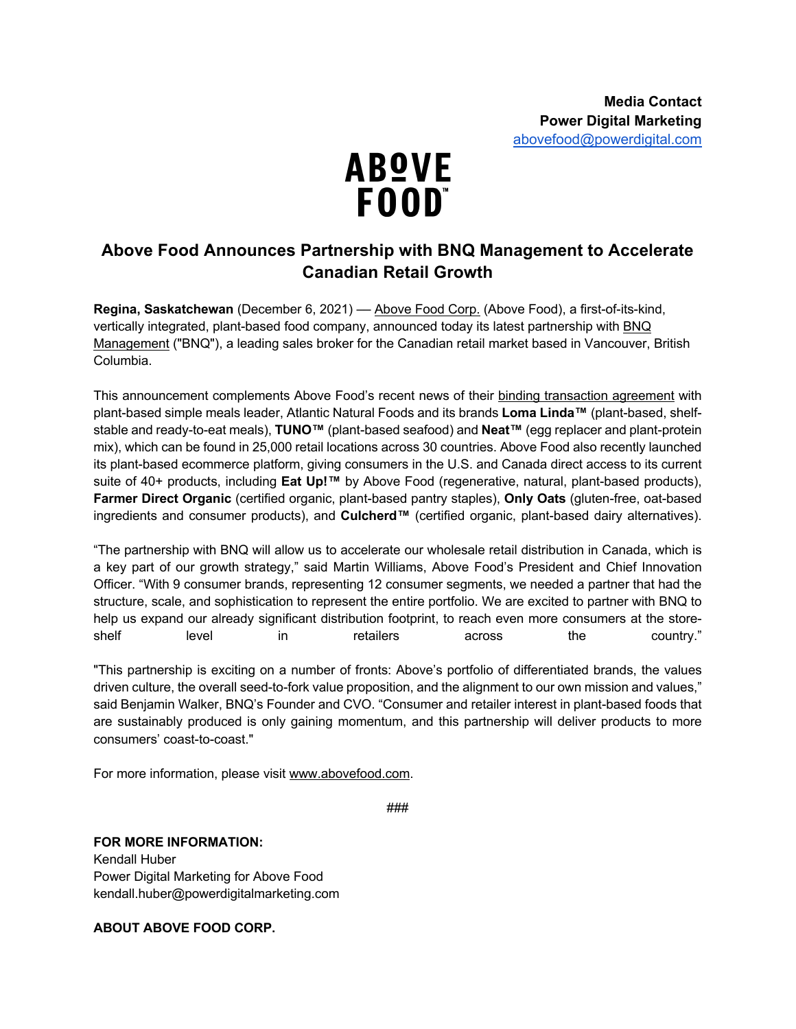

## **Above Food Announces Partnership with BNQ Management to Accelerate Canadian Retail Growth**

**Regina, Saskatchewan** (December 6, 2021) –– Above Food Corp. (Above Food), a first-of-its-kind, vertically integrated, plant-based food company, announced today its latest partnership with BNQ Management ("BNQ"), a leading sales broker for the Canadian retail market based in Vancouver, British Columbia.

This announcement complements Above Food's recent news of their binding transaction agreement with plant-based simple meals leader, Atlantic Natural Foods and its brands **Loma Linda™** (plant-based, shelfstable and ready-to-eat meals), **TUNO™** (plant-based seafood) and **Neat™** (egg replacer and plant-protein mix), which can be found in 25,000 retail locations across 30 countries. Above Food also recently launched its plant-based ecommerce platform, giving consumers in the U.S. and Canada direct access to its current suite of 40+ products, including **Eat Up!™** by Above Food (regenerative, natural, plant-based products), **Farmer Direct Organic** (certified organic, plant-based pantry staples), **Only Oats** (gluten-free, oat-based ingredients and consumer products), and **Culcherd™** (certified organic, plant-based dairy alternatives).

"The partnership with BNQ will allow us to accelerate our wholesale retail distribution in Canada, which is a key part of our growth strategy," said Martin Williams, Above Food's President and Chief Innovation Officer. "With 9 consumer brands, representing 12 consumer segments, we needed a partner that had the structure, scale, and sophistication to represent the entire portfolio. We are excited to partner with BNQ to help us expand our already significant distribution footprint, to reach even more consumers at the storeshelf level in retailers across the country."

"This partnership is exciting on a number of fronts: Above's portfolio of differentiated brands, the values driven culture, the overall seed-to-fork value proposition, and the alignment to our own mission and values," said Benjamin Walker, BNQ's Founder and CVO. "Consumer and retailer interest in plant-based foods that are sustainably produced is only gaining momentum, and this partnership will deliver products to more consumers' coast-to-coast."

For more information, please visit www.abovefood.com.

###

## **FOR MORE INFORMATION:**

Kendall Huber Power Digital Marketing for Above Food kendall.huber@powerdigitalmarketing.com

**ABOUT ABOVE FOOD CORP.**